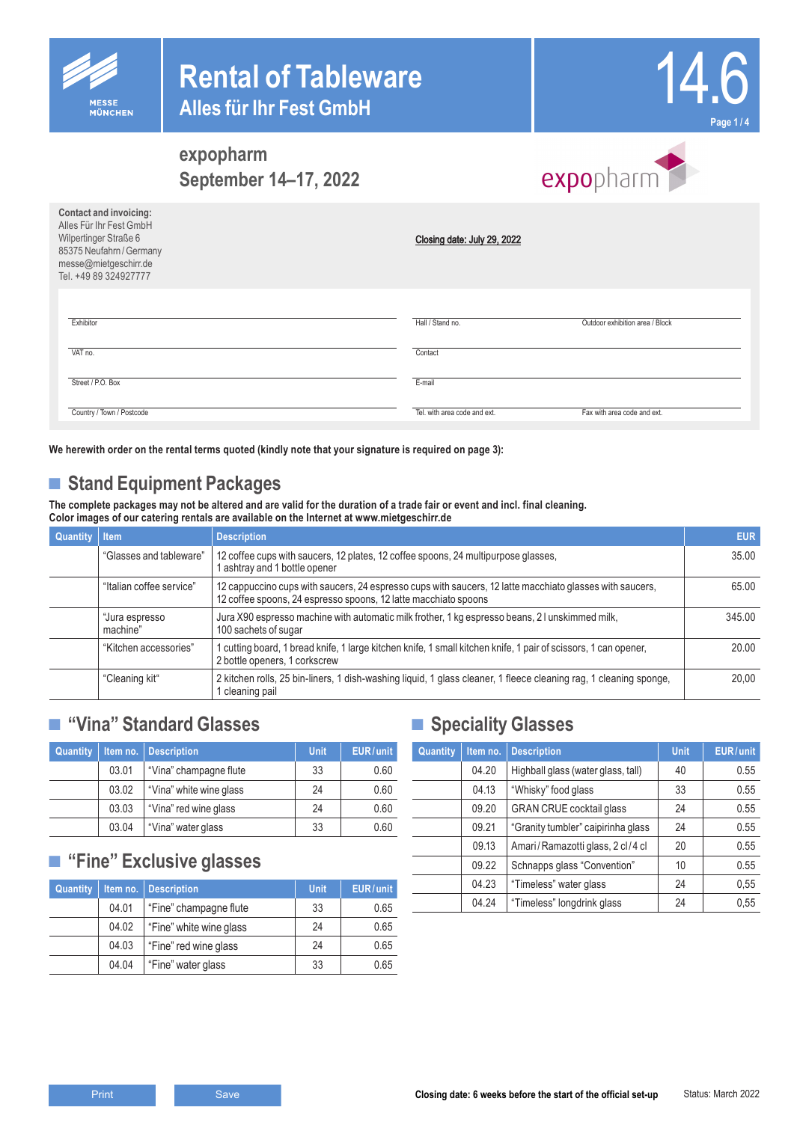



expopharm

### **expopharm September 14–17, 2022**

| Contact and invoicing:<br>Alles Für Ihr Fest GmbH<br>Wilpertinger Straße 6<br>85375 Neufahrn / Germany<br>messe@mietgeschirr.de<br>Tel. +49 89 324927777 | Closing date: July 29, 2022  |                                 |
|----------------------------------------------------------------------------------------------------------------------------------------------------------|------------------------------|---------------------------------|
| Exhibitor                                                                                                                                                | Hall / Stand no.             | Outdoor exhibition area / Block |
| VAT no.                                                                                                                                                  | Contact                      |                                 |
| Street / P.O. Box                                                                                                                                        | E-mail                       |                                 |
| Country / Town / Postcode                                                                                                                                | Tel. with area code and ext. | Fax with area code and ext.     |

**We herewith order on the rental terms quoted (kindly note that your signature is required on page 3):**

# ■ **Stand Equipment Packages**

**The complete packages may not be altered and are valid for the duration of a trade fair or event and incl. final cleaning. Color images of our catering rentals are available on the Internet at www.mietgeschirr.de**

| <b>Quantity Item</b> |                            | <b>Description</b>                                                                                                                                                          | <b>EUR</b> |
|----------------------|----------------------------|-----------------------------------------------------------------------------------------------------------------------------------------------------------------------------|------------|
|                      | "Glasses and tableware"    | 12 coffee cups with saucers, 12 plates, 12 coffee spoons, 24 multipurpose glasses,<br>l ashtray and 1 bottle opener                                                         | 35.00      |
|                      | "Italian coffee service"   | 12 cappuccino cups with saucers, 24 espresso cups with saucers, 12 latte macchiato glasses with saucers,<br>12 coffee spoons, 24 espresso spoons, 12 latte macchiato spoons | 65.00      |
|                      | "Jura espresso<br>machine" | Jura X90 espresso machine with automatic milk frother, 1 kg espresso beans, 21 unskimmed milk,<br>100 sachets of sugar                                                      | 345.00     |
|                      | "Kitchen accessories"      | l cutting board, 1 bread knife, 1 large kitchen knife, 1 small kitchen knife, 1 pair of scissors, 1 can opener,<br>2 bottle openers, 1 corkscrew                            | 20.00      |
|                      | "Cleaning kit"             | 2 kitchen rolls, 25 bin-liners, 1 dish-washing liquid, 1 glass cleaner, 1 fleece cleaning rag, 1 cleaning sponge,<br>I cleaning pail                                        | 20.00      |

### **■ "Vina" Standard Glasses**

| <b>Quantity</b> | Item no. | <b>Description</b>      | <b>Unit</b> | EUR/unit |
|-----------------|----------|-------------------------|-------------|----------|
|                 | 03.01    | "Vina" champagne flute  | 33          | 0.60     |
|                 | 03.02    | "Vina" white wine glass | 24          | 0.60     |
|                 | 03.03    | "Vina" red wine glass   | 24          | 0.60     |
|                 | 03.04    | "Vina" water glass      | 33          | 0.60     |

### **■ "Fine" Exclusive glasses**

| Quantity | Item no. | <b>Description</b>      | <b>Unit</b> | EUR/unit |
|----------|----------|-------------------------|-------------|----------|
|          | 04.01    | "Fine" champagne flute  | 33          | 0.65     |
|          | 04.02    | "Fine" white wine glass | 24          | 0.65     |
|          | 04.03    | "Fine" red wine glass   | 24          | 0.65     |
|          | 04.04    | "Fine" water glass      | 33          | 0.65     |

### **■ Speciality Glasses**

| Quantity | Item no. | <b>Description</b>                 | <b>Unit</b> | EUR/unit |
|----------|----------|------------------------------------|-------------|----------|
|          | 04.20    | Highball glass (water glass, tall) | 40          | 0.55     |
|          | 04.13    | "Whisky" food glass                | 33          | 0.55     |
|          | 09.20    | <b>GRAN CRUE cocktail glass</b>    | 24          | 0.55     |
|          | 09.21    | "Granity tumbler" caipirinha glass | 24          | 0.55     |
|          | 09.13    | Amari/Ramazotti glass, 2 cl/4 cl   | 20          | 0.55     |
|          | 09.22    | Schnapps glass "Convention"        | 10          | 0.55     |
|          | 04.23    | "Timeless" water glass             | 24          | 0,55     |
|          | 04.24    | "Timeless" longdrink glass         | 24          | 0,55     |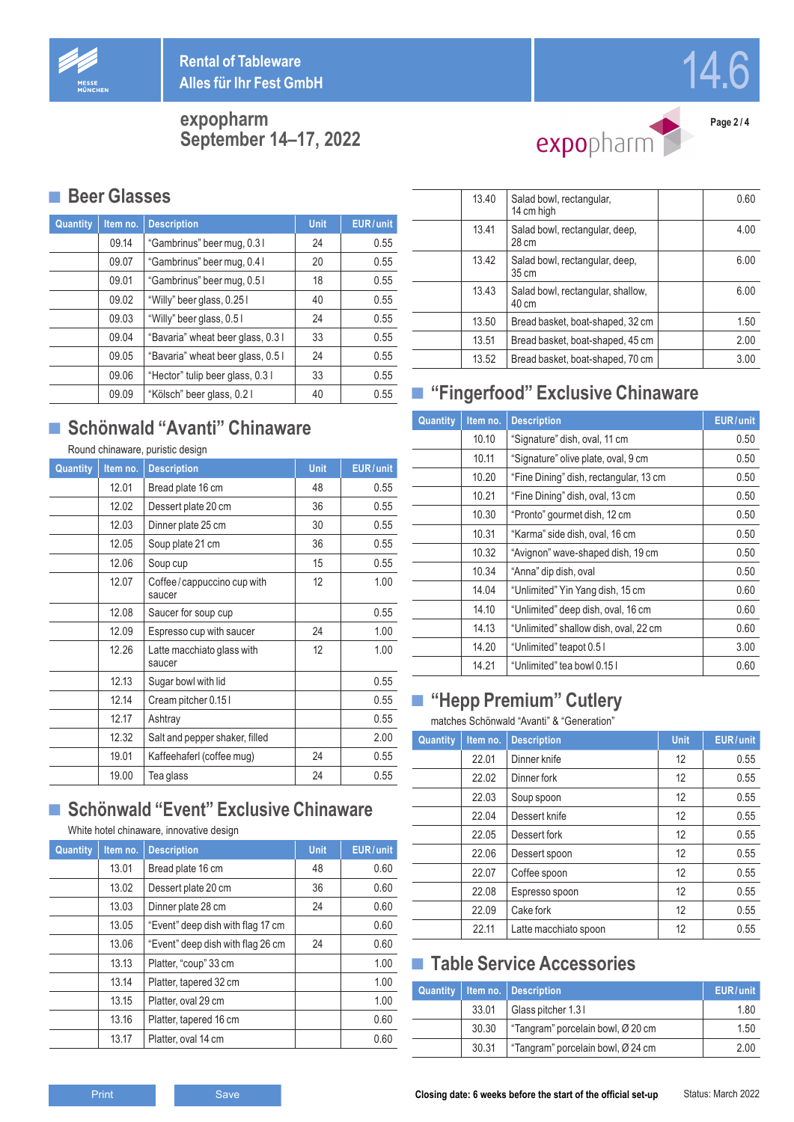

**Rental of Tableware Alles für Ihr Fest GmbH**

**expopharm September 14–17, 2022**



**■ Beer Glasses**

| Quantity | Item no. | <b>Description</b>                | <b>Unit</b> | EUR/unit |
|----------|----------|-----------------------------------|-------------|----------|
|          | 09.14    | "Gambrinus" beer mug, 0.31        | 24          | 0.55     |
|          | 09.07    | "Gambrinus" beer mug, 0.4 l       | 20          | 0.55     |
|          | 09.01    | "Gambrinus" beer mug, 0.51        | 18          | 0.55     |
|          | 09.02    | "Willy" beer glass, 0.25 l        | 40          | 0.55     |
|          | 09.03    | "Willy" beer glass, 0.51          | 24          | 0.55     |
|          | 09.04    | "Bavaria" wheat beer glass, 0.31  | 33          | 0.55     |
|          | 09.05    | "Bavaria" wheat beer glass, 0.5 l | 24          | 0.55     |
|          | 09.06    | "Hector" tulip beer glass, 0.3 l  | 33          | 0.55     |
|          | 09.09    | "Kölsch" beer glass, 0.2 l        | 40          | 0.55     |

# **■ Schönwald "Avanti" Chinaware**

# Round chinaware, puristic design

| Quantity | Item no. | <b>Description</b>                   | <b>Unit</b> | EUR/unit |
|----------|----------|--------------------------------------|-------------|----------|
|          | 12.01    | Bread plate 16 cm                    | 48          | 0.55     |
|          | 12.02    | Dessert plate 20 cm                  | 36          | 0.55     |
|          | 12.03    | Dinner plate 25 cm                   | 30          | 0.55     |
|          | 12.05    | Soup plate 21 cm                     | 36          | 0.55     |
|          | 12.06    | Soup cup                             | 15          | 0.55     |
|          | 12.07    | Coffee/cappuccino cup with<br>saucer | 12          | 1.00     |
|          | 12.08    | Saucer for soup cup                  |             | 0.55     |
|          | 12.09    | Espresso cup with saucer             | 24          | 1.00     |
|          | 12.26    | Latte macchiato glass with<br>saucer | 12          | 1.00     |
|          | 12.13    | Sugar bowl with lid                  |             | 0.55     |
|          | 12.14    | Cream pitcher 0.151                  |             | 0.55     |
|          | 12.17    | Ashtray                              |             | 0.55     |
|          | 12.32    | Salt and pepper shaker, filled       |             | 2.00     |
|          | 19.01    | Kaffeehaferl (coffee mug)            | 24          | 0.55     |
|          | 19.00    | Tea glass                            | 24          | 0.55     |

### **■ Schönwald "Event" Exclusive Chinaware**

#### White hotel chinaware, innovative design

| Quantity | Item no. | <b>Description</b>                | <b>Unit</b> | EUR/unit |
|----------|----------|-----------------------------------|-------------|----------|
|          | 13.01    | Bread plate 16 cm                 | 48          | 0.60     |
|          | 13.02    | Dessert plate 20 cm               | 36          | 0.60     |
|          | 13.03    | Dinner plate 28 cm                | 24          | 0.60     |
|          | 13.05    | "Event" deep dish with flag 17 cm |             | 0.60     |
|          | 13.06    | "Event" deep dish with flag 26 cm | 24          | 0.60     |
|          | 13.13    | Platter, "coup" 33 cm             |             | 1.00     |
|          | 13.14    | Platter, tapered 32 cm            |             | 1.00     |
|          | 13.15    | Platter, oval 29 cm               |             | 1.00     |
|          | 13.16    | Platter, tapered 16 cm            |             | 0.60     |
|          | 13.17    | Platter, oval 14 cm               |             | 0.60     |

| 13.40 | Salad bowl, rectangular,<br>14 cm high     | 0.60 |
|-------|--------------------------------------------|------|
| 13.41 | Salad bowl, rectangular, deep,<br>28 cm    | 4.00 |
| 13.42 | Salad bowl, rectangular, deep,<br>35 cm    | 6.00 |
| 13.43 | Salad bowl, rectangular, shallow,<br>40 cm | 6.00 |
| 13.50 | Bread basket, boat-shaped, 32 cm           | 1.50 |
| 13.51 | Bread basket, boat-shaped, 45 cm           | 2.00 |
| 13.52 | Bread basket, boat-shaped, 70 cm           | 3.00 |

# **■ "Fingerfood" Exclusive Chinaware**

| Quantity | Item no. | <b>Description</b>                     | EUR/unit |
|----------|----------|----------------------------------------|----------|
|          | 10.10    | "Signature" dish, oval, 11 cm          | 0.50     |
|          | 10.11    | "Signature" olive plate, oval, 9 cm    | 0.50     |
|          | 10.20    | "Fine Dining" dish, rectangular, 13 cm | 0.50     |
|          | 10.21    | "Fine Dining" dish, oval, 13 cm        | 0.50     |
|          | 10.30    | "Pronto" gourmet dish, 12 cm           | 0.50     |
|          | 10.31    | "Karma" side dish, oval, 16 cm         | 0.50     |
|          | 10.32    | "Avignon" wave-shaped dish, 19 cm      | 0.50     |
|          | 10.34    | "Anna" dip dish, oval                  | 0.50     |
|          | 14.04    | "Unlimited" Yin Yang dish, 15 cm       | 0.60     |
|          | 14.10    | "Unlimited" deep dish, oval, 16 cm     | 0.60     |
|          | 14.13    | "Unlimited" shallow dish, oval, 22 cm  | 0.60     |
|          | 14.20    | "Unlimited" teapot 0.51                | 3.00     |
|          | 14.21    | "Unlimited" tea bowl 0.15 l            | 0.60     |

# **■ "Hepp Premium" Cutlery**

#### matches Schönwald "Avanti" & "Generation"

| Quantity | Item no. | <b>Description</b>    | <b>Unit</b> | EUR/unit |
|----------|----------|-----------------------|-------------|----------|
|          | 22.01    | Dinner knife          | 12          | 0.55     |
|          | 22.02    | Dinner fork           | 12          | 0.55     |
|          | 22.03    | Soup spoon            | 12          | 0.55     |
|          | 22.04    | Dessert knife         | 12          | 0.55     |
|          | 22.05    | Dessert fork          | 12          | 0.55     |
|          | 22.06    | Dessert spoon         | 12          | 0.55     |
|          | 22.07    | Coffee spoon          | 12          | 0.55     |
|          | 22.08    | Espresso spoon        | 12          | 0.55     |
|          | 22.09    | Cake fork             | 12          | 0.55     |
|          | 22.11    | Latte macchiato spoon | 12          | 0.55     |

### **■ Table Service Accessories**

|       | Quantity   Item no.   Description | EUR/unit |
|-------|-----------------------------------|----------|
| 33.01 | Glass pitcher 1.31                | 1.80     |
| 30.30 | "Tangram" porcelain bowl, Ø 20 cm | 1.50     |
| 30.31 | Tangram" porcelain bowl, Ø 24 cm  | 2.00     |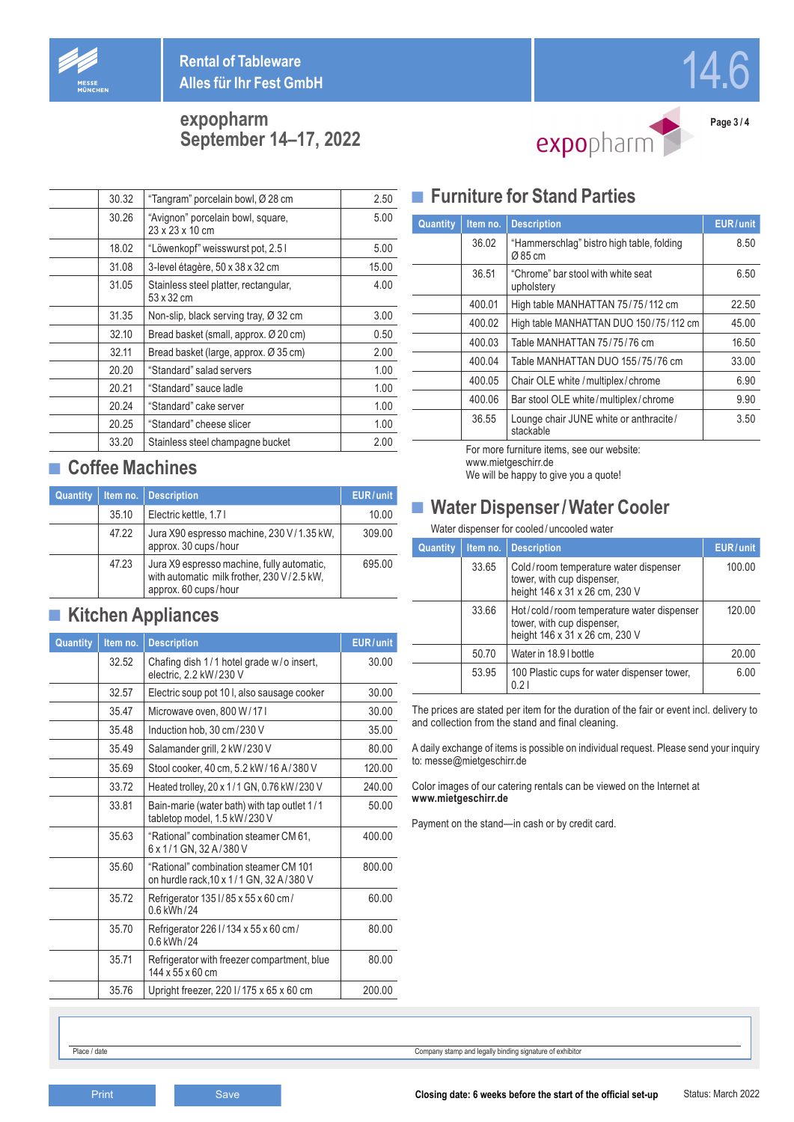

**Rental of Tableware Alles für Ihr Fest GmbH**

### **expopharm September 14–17, 2022**



**Page 3 / 4**

14.6

| 30.32 | "Tangram" porcelain bowl, Ø 28 cm                    | 2.50  |
|-------|------------------------------------------------------|-------|
| 30.26 | "Avignon" porcelain bowl, square,<br>23 x 23 x 10 cm | 5.00  |
| 18.02 | "Löwenkopf" weisswurst pot, 2.5 l                    | 5.00  |
| 31.08 | 3-level étagère, 50 x 38 x 32 cm                     | 15.00 |
| 31.05 | Stainless steel platter, rectangular,<br>53 x 32 cm  | 4.00  |
| 31.35 | Non-slip, black serving tray, Ø 32 cm                | 3.00  |
| 32.10 | Bread basket (small, approx. Ø 20 cm)                | 0.50  |
| 32.11 | Bread basket (large, approx. Ø 35 cm)                | 2.00  |
| 20.20 | "Standard" salad servers                             | 1.00  |
| 20.21 | "Standard" sauce ladle                               | 1.00  |
| 20.24 | "Standard" cake server                               | 1.00  |
| 20.25 | "Standard" cheese slicer                             | 1.00  |
| 33.20 | Stainless steel champagne bucket                     | 2.00  |

### **■ Coffee Machines**

| Quantity | Item no. | <b>Description</b>                                                                                               | EUR/unit |
|----------|----------|------------------------------------------------------------------------------------------------------------------|----------|
|          | 35.10    | Electric kettle, 1.71                                                                                            | 10.00    |
|          | 47.22    | Jura X90 espresso machine, 230 V/1.35 kW,<br>approx. 30 cups/hour                                                | 309.00   |
|          | 47.23    | Jura X9 espresso machine, fully automatic,<br>with automatic milk frother, 230 V/2.5 kW,<br>approx. 60 cups/hour | 695.00   |

### **■ Kitchen Appliances**

| Quantity | Item no. | <b>Description</b>                                                               | EUR/unit |
|----------|----------|----------------------------------------------------------------------------------|----------|
|          | 32.52    | Chafing dish 1/1 hotel grade w/o insert,<br>electric, 2.2 kW/230 V               | 30.00    |
|          | 32.57    | Electric soup pot 10 I, also sausage cooker                                      | 30.00    |
|          | 35.47    | Microwave oven, 800 W/17 I                                                       | 30.00    |
|          | 35.48    | Induction hob, 30 cm/230 V                                                       | 35.00    |
|          | 35.49    | Salamander grill, 2 kW/230 V                                                     | 80.00    |
|          | 35.69    | Stool cooker, 40 cm, 5.2 kW/16 A/380 V                                           | 120.00   |
|          | 33.72    | Heated trolley, 20 x 1/1 GN, 0.76 kW/230 V                                       | 240.00   |
|          | 33.81    | Bain-marie (water bath) with tap outlet 1/1<br>tabletop model, 1.5 kW/230 V      | 50.00    |
|          | 35.63    | "Rational" combination steamer CM 61,<br>6 x 1/1 GN, 32 A/380 V                  | 400.00   |
|          | 35.60    | "Rational" combination steamer CM 101<br>on hurdle rack, 10 x 1/1 GN, 32 A/380 V | 800.00   |
|          | 35.72    | Refrigerator 1351/85 x 55 x 60 cm/<br>0.6 kWh/24                                 | 60.00    |
|          | 35.70    | Refrigerator 226 I/134 x 55 x 60 cm/<br>0.6 kWh/24                               | 80.00    |
|          | 35.71    | Refrigerator with freezer compartment, blue<br>144 x 55 x 60 cm                  | 80.00    |
|          | 35.76    | Upright freezer, 220 l/175 x 65 x 60 cm                                          | 200.00   |

### **■ Furniture for Stand Parties**

| Quantity | Item no. | <b>Description</b>                                  | EUR/unit |
|----------|----------|-----------------------------------------------------|----------|
|          | 36.02    | "Hammerschlag" bistro high table, folding<br>Ø85 cm | 8.50     |
|          | 36.51    | "Chrome" bar stool with white seat<br>upholstery    | 6.50     |
|          | 400.01   | High table MANHATTAN 75/75/112 cm                   | 22.50    |
|          | 400.02   | High table MANHATTAN DUO 150/75/112 cm              | 45.00    |
|          | 400.03   | Table MANHATTAN 75/75/76 cm                         | 16.50    |
|          | 400.04   | Table MANHATTAN DUO 155/75/76 cm                    | 33.00    |
|          | 400.05   | Chair OLE white / multiplex/chrome                  | 6.90     |
|          | 400.06   | Bar stool OLE white/multiplex/chrome                | 9.90     |
|          | 36.55    | Lounge chair JUNE white or anthracite/<br>stackable | 3.50     |

For more furniture items, see our website: www.mietgeschirr.de

We will be happy to give you a quote!

### **■ Water Dispenser/Water Cooler**

Water dispenser for cooled / uncooled water

| Quantity | Item no. | <b>Description</b>                                                                                        | EUR/unit |
|----------|----------|-----------------------------------------------------------------------------------------------------------|----------|
|          | 33.65    | Cold/room temperature water dispenser<br>tower, with cup dispenser,<br>height 146 x 31 x 26 cm, 230 V     | 100.00   |
|          | 33.66    | Hot/cold/room temperature water dispenser<br>tower, with cup dispenser,<br>height 146 x 31 x 26 cm, 230 V | 120.00   |
|          | 50.70    | Water in 18.9 I bottle                                                                                    | 20.00    |
|          | 53.95    | 100 Plastic cups for water dispenser tower.<br>0.21                                                       | 6.00     |

The prices are stated per item for the duration of the fair or event incl. delivery to and collection from the stand and final cleaning.

A daily exchange of items is possible on individual request. Please send your inquiry to: messe@mietgeschirr.de

Color images of our catering rentals can be viewed on the Internet at **www.mietgeschirr.de**

Payment on the stand—in cash or by credit card.